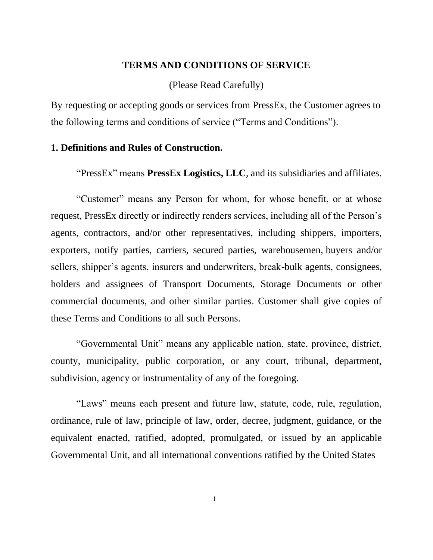### **TERMS AND CONDITIONS OF SERVICE**

(Please Read Carefully)

By requesting or accepting goods or services from PressEx, the Customer agrees to the following terms and conditions of service ("Terms and Conditions").

### **1. Definitions and Rules of Construction.**

"PressEx" means **PressEx Logistics, LLC**, and its subsidiaries and affiliates.

"Customer" means any Person for whom, for whose benefit, or at whose request, PressEx directly or indirectly renders services, including all of the Person's agents, contractors, and/or other representatives, including shippers, importers, exporters, notify parties, carriers, secured parties, warehousemen, buyers and/or sellers, shipper's agents, insurers and underwriters, break-bulk agents, consignees, holders and assignees of Transport Documents, Storage Documents or other commercial documents, and other similar parties. Customer shall give copies of these Terms and Conditions to all such Persons.

"Governmental Unit" means any applicable nation, state, province, district, county, municipality, public corporation, or any court, tribunal, department, subdivision, agency or instrumentality of any of the foregoing.

"Laws" means each present and future law, statute, code, rule, regulation, ordinance, rule of law, principle of law, order, decree, judgment, guidance, or the equivalent enacted, ratified, adopted, promulgated, or issued by an applicable Governmental Unit, and all international conventions ratified by the United States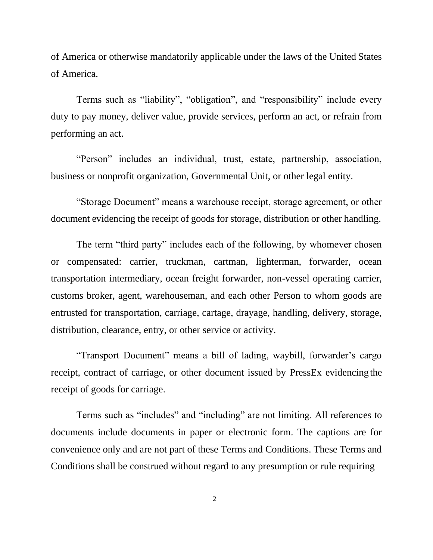of America or otherwise mandatorily applicable under the laws of the United States of America.

Terms such as "liability", "obligation", and "responsibility" include every duty to pay money, deliver value, provide services, perform an act, or refrain from performing an act.

"Person" includes an individual, trust, estate, partnership, association, business or nonprofit organization, Governmental Unit, or other legal entity.

"Storage Document" means a warehouse receipt, storage agreement, or other document evidencing the receipt of goods for storage, distribution or other handling.

The term "third party" includes each of the following, by whomever chosen or compensated: carrier, truckman, cartman, lighterman, forwarder, ocean transportation intermediary, ocean freight forwarder, non-vessel operating carrier, customs broker, agent, warehouseman, and each other Person to whom goods are entrusted for transportation, carriage, cartage, drayage, handling, delivery, storage, distribution, clearance, entry, or other service or activity.

"Transport Document" means a bill of lading, waybill, forwarder's cargo receipt, contract of carriage, or other document issued by PressEx evidencing the receipt of goods for carriage.

Terms such as "includes" and "including" are not limiting. All references to documents include documents in paper or electronic form. The captions are for convenience only and are not part of these Terms and Conditions. These Terms and Conditions shall be construed without regard to any presumption or rule requiring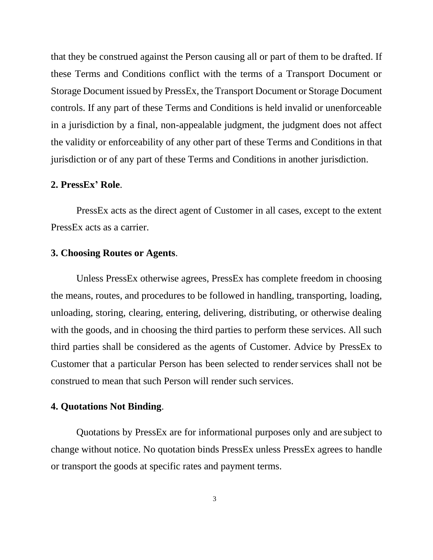that they be construed against the Person causing all or part of them to be drafted. If these Terms and Conditions conflict with the terms of a Transport Document or Storage Document issued by PressEx, the Transport Document or Storage Document controls. If any part of these Terms and Conditions is held invalid or unenforceable in a jurisdiction by a final, non-appealable judgment, the judgment does not affect the validity or enforceability of any other part of these Terms and Conditions in that jurisdiction or of any part of these Terms and Conditions in another jurisdiction.

### **2. PressEx' Role**.

PressEx acts as the direct agent of Customer in all cases, except to the extent PressEx acts as a carrier.

## **3. Choosing Routes or Agents**.

Unless PressEx otherwise agrees, PressEx has complete freedom in choosing the means, routes, and procedures to be followed in handling, transporting, loading, unloading, storing, clearing, entering, delivering, distributing, or otherwise dealing with the goods, and in choosing the third parties to perform these services. All such third parties shall be considered as the agents of Customer. Advice by PressEx to Customer that a particular Person has been selected to render services shall not be construed to mean that such Person will render such services.

# **4. Quotations Not Binding**.

Quotations by PressEx are for informational purposes only and are subject to change without notice. No quotation binds PressEx unless PressEx agrees to handle or transport the goods at specific rates and payment terms.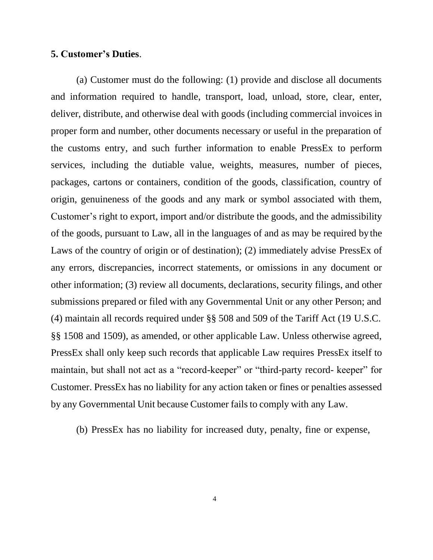## **5. Customer's Duties**.

(a) Customer must do the following: (1) provide and disclose all documents and information required to handle, transport, load, unload, store, clear, enter, deliver, distribute, and otherwise deal with goods (including commercial invoices in proper form and number, other documents necessary or useful in the preparation of the customs entry, and such further information to enable PressEx to perform services, including the dutiable value, weights, measures, number of pieces, packages, cartons or containers, condition of the goods, classification, country of origin, genuineness of the goods and any mark or symbol associated with them, Customer's right to export, import and/or distribute the goods, and the admissibility of the goods, pursuant to Law, all in the languages of and as may be required bythe Laws of the country of origin or of destination); (2) immediately advise PressEx of any errors, discrepancies, incorrect statements, or omissions in any document or other information; (3) review all documents, declarations, security filings, and other submissions prepared or filed with any Governmental Unit or any other Person; and (4) maintain all records required under §§ 508 and 509 of the Tariff Act (19 U.S.C. §§ 1508 and 1509), as amended, or other applicable Law. Unless otherwise agreed, PressEx shall only keep such records that applicable Law requires PressEx itself to maintain, but shall not act as a "record-keeper" or "third-party record- keeper" for Customer. PressEx has no liability for any action taken or fines or penalties assessed by any Governmental Unit because Customer fails to comply with any Law.

(b) PressEx has no liability for increased duty, penalty, fine or expense,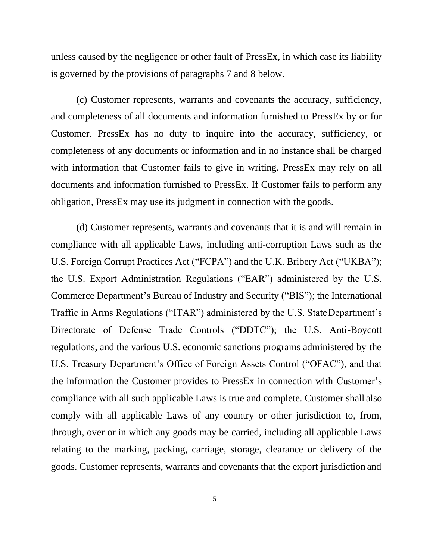unless caused by the negligence or other fault of PressEx, in which case its liability is governed by the provisions of paragraphs 7 and 8 below.

(c) Customer represents, warrants and covenants the accuracy, sufficiency, and completeness of all documents and information furnished to PressEx by or for Customer. PressEx has no duty to inquire into the accuracy, sufficiency, or completeness of any documents or information and in no instance shall be charged with information that Customer fails to give in writing. PressEx may rely on all documents and information furnished to PressEx. If Customer fails to perform any obligation, PressEx may use its judgment in connection with the goods.

(d) Customer represents, warrants and covenants that it is and will remain in compliance with all applicable Laws, including anti-corruption Laws such as the U.S. Foreign Corrupt Practices Act ("FCPA") and the U.K. Bribery Act ("UKBA"); the U.S. Export Administration Regulations ("EAR") administered by the U.S. Commerce Department's Bureau of Industry and Security ("BIS"); the International Traffic in Arms Regulations ("ITAR") administered by the U.S. StateDepartment's Directorate of Defense Trade Controls ("DDTC"); the U.S. Anti-Boycott regulations, and the various U.S. economic sanctions programs administered by the U.S. Treasury Department's Office of Foreign Assets Control ("OFAC"), and that the information the Customer provides to PressEx in connection with Customer's compliance with all such applicable Laws is true and complete. Customer shall also comply with all applicable Laws of any country or other jurisdiction to, from, through, over or in which any goods may be carried, including all applicable Laws relating to the marking, packing, carriage, storage, clearance or delivery of the goods. Customer represents, warrants and covenants that the export jurisdiction and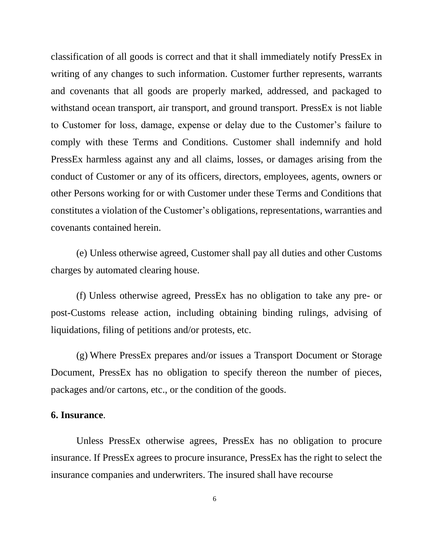classification of all goods is correct and that it shall immediately notify PressEx in writing of any changes to such information. Customer further represents, warrants and covenants that all goods are properly marked, addressed, and packaged to withstand ocean transport, air transport, and ground transport. PressEx is not liable to Customer for loss, damage, expense or delay due to the Customer's failure to comply with these Terms and Conditions. Customer shall indemnify and hold PressEx harmless against any and all claims, losses, or damages arising from the conduct of Customer or any of its officers, directors, employees, agents, owners or other Persons working for or with Customer under these Terms and Conditions that constitutes a violation of the Customer's obligations, representations, warranties and covenants contained herein.

(e) Unless otherwise agreed, Customer shall pay all duties and other Customs charges by automated clearing house.

(f) Unless otherwise agreed, PressEx has no obligation to take any pre- or post-Customs release action, including obtaining binding rulings, advising of liquidations, filing of petitions and/or protests, etc.

(g) Where PressEx prepares and/or issues a Transport Document or Storage Document, PressEx has no obligation to specify thereon the number of pieces, packages and/or cartons, etc., or the condition of the goods.

## **6. Insurance**.

Unless PressEx otherwise agrees, PressEx has no obligation to procure insurance. If PressEx agrees to procure insurance, PressEx has the right to select the insurance companies and underwriters. The insured shall have recourse

6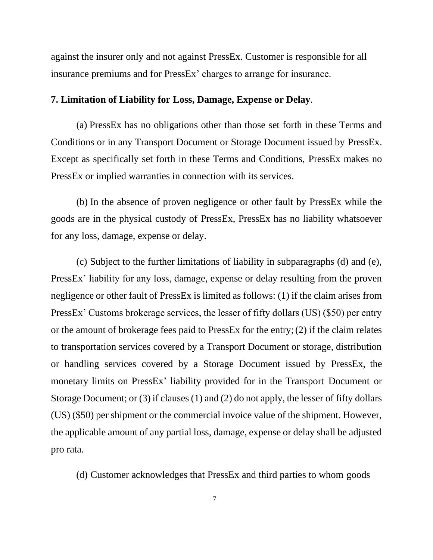against the insurer only and not against PressEx. Customer is responsible for all insurance premiums and for PressEx' charges to arrange for insurance.

#### **7. Limitation of Liability for Loss, Damage, Expense or Delay**.

(a) PressEx has no obligations other than those set forth in these Terms and Conditions or in any Transport Document or Storage Document issued by PressEx. Except as specifically set forth in these Terms and Conditions, PressEx makes no PressEx or implied warranties in connection with its services.

(b) In the absence of proven negligence or other fault by PressEx while the goods are in the physical custody of PressEx, PressEx has no liability whatsoever for any loss, damage, expense or delay.

(c) Subject to the further limitations of liability in subparagraphs (d) and (e), PressEx' liability for any loss, damage, expense or delay resulting from the proven negligence or other fault of PressEx is limited as follows: (1) if the claim arises from PressEx' Customs brokerage services, the lesser of fifty dollars (US) (\$50) per entry or the amount of brokerage fees paid to PressEx for the entry;(2) if the claim relates to transportation services covered by a Transport Document or storage, distribution or handling services covered by a Storage Document issued by PressEx, the monetary limits on PressEx' liability provided for in the Transport Document or Storage Document; or (3) if clauses (1) and (2) do not apply, the lesser of fifty dollars (US) (\$50) per shipment or the commercial invoice value of the shipment. However, the applicable amount of any partial loss, damage, expense or delay shall be adjusted pro rata.

(d) Customer acknowledges that PressEx and third parties to whom goods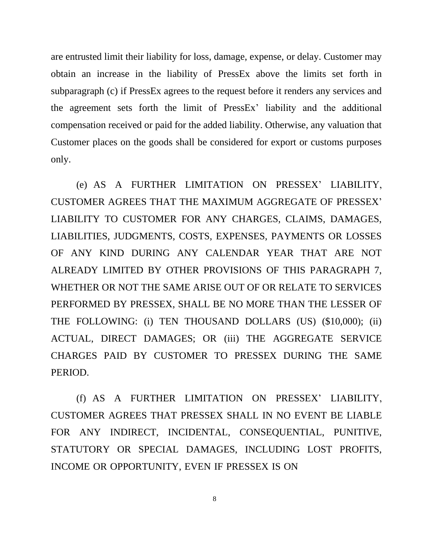are entrusted limit their liability for loss, damage, expense, or delay. Customer may obtain an increase in the liability of PressEx above the limits set forth in subparagraph (c) if PressEx agrees to the request before it renders any services and the agreement sets forth the limit of PressEx' liability and the additional compensation received or paid for the added liability. Otherwise, any valuation that Customer places on the goods shall be considered for export or customs purposes only.

(e) AS A FURTHER LIMITATION ON PRESSEX' LIABILITY, CUSTOMER AGREES THAT THE MAXIMUM AGGREGATE OF PRESSEX' LIABILITY TO CUSTOMER FOR ANY CHARGES, CLAIMS, DAMAGES, LIABILITIES, JUDGMENTS, COSTS, EXPENSES, PAYMENTS OR LOSSES OF ANY KIND DURING ANY CALENDAR YEAR THAT ARE NOT ALREADY LIMITED BY OTHER PROVISIONS OF THIS PARAGRAPH 7, WHETHER OR NOT THE SAME ARISE OUT OF OR RELATE TO SERVICES PERFORMED BY PRESSEX, SHALL BE NO MORE THAN THE LESSER OF THE FOLLOWING: (i) TEN THOUSAND DOLLARS (US) (\$10,000); (ii) ACTUAL, DIRECT DAMAGES; OR (iii) THE AGGREGATE SERVICE CHARGES PAID BY CUSTOMER TO PRESSEX DURING THE SAME PERIOD.

(f) AS A FURTHER LIMITATION ON PRESSEX' LIABILITY, CUSTOMER AGREES THAT PRESSEX SHALL IN NO EVENT BE LIABLE FOR ANY INDIRECT, INCIDENTAL, CONSEQUENTIAL, PUNITIVE, STATUTORY OR SPECIAL DAMAGES, INCLUDING LOST PROFITS, INCOME OR OPPORTUNITY, EVEN IF PRESSEX IS ON

8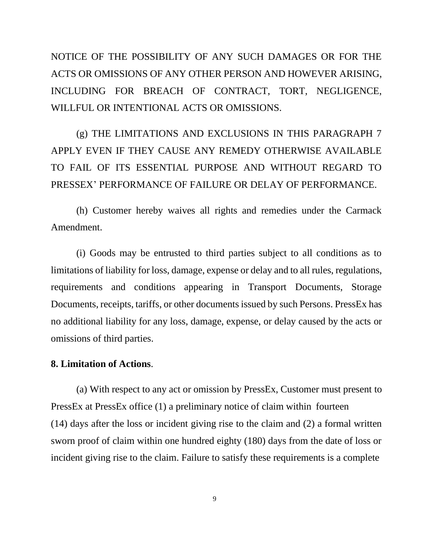NOTICE OF THE POSSIBILITY OF ANY SUCH DAMAGES OR FOR THE ACTS OR OMISSIONS OF ANY OTHER PERSON AND HOWEVER ARISING, INCLUDING FOR BREACH OF CONTRACT, TORT, NEGLIGENCE, WILLFUL OR INTENTIONAL ACTS OR OMISSIONS.

(g) THE LIMITATIONS AND EXCLUSIONS IN THIS PARAGRAPH 7 APPLY EVEN IF THEY CAUSE ANY REMEDY OTHERWISE AVAILABLE TO FAIL OF ITS ESSENTIAL PURPOSE AND WITHOUT REGARD TO PRESSEX' PERFORMANCE OF FAILURE OR DELAY OF PERFORMANCE.

(h) Customer hereby waives all rights and remedies under the Carmack Amendment.

(i) Goods may be entrusted to third parties subject to all conditions as to limitations of liability for loss, damage, expense or delay and to all rules, regulations, requirements and conditions appearing in Transport Documents, Storage Documents, receipts, tariffs, or other documents issued by such Persons. PressEx has no additional liability for any loss, damage, expense, or delay caused by the acts or omissions of third parties.

### **8. Limitation of Actions**.

(a) With respect to any act or omission by PressEx, Customer must present to PressEx at PressEx office (1) a preliminary notice of claim within fourteen (14) days after the loss or incident giving rise to the claim and (2) a formal written sworn proof of claim within one hundred eighty (180) days from the date of loss or incident giving rise to the claim. Failure to satisfy these requirements is a complete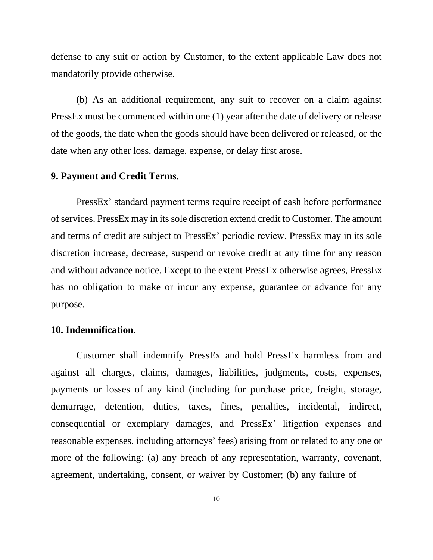defense to any suit or action by Customer, to the extent applicable Law does not mandatorily provide otherwise.

(b) As an additional requirement, any suit to recover on a claim against PressEx must be commenced within one (1) year after the date of delivery or release of the goods, the date when the goods should have been delivered or released, or the date when any other loss, damage, expense, or delay first arose.

## **9. Payment and Credit Terms**.

PressEx' standard payment terms require receipt of cash before performance of services. PressEx may in its sole discretion extend credit to Customer. The amount and terms of credit are subject to PressEx' periodic review. PressEx may in its sole discretion increase, decrease, suspend or revoke credit at any time for any reason and without advance notice. Except to the extent PressEx otherwise agrees, PressEx has no obligation to make or incur any expense, guarantee or advance for any purpose.

## **10. Indemnification**.

Customer shall indemnify PressEx and hold PressEx harmless from and against all charges, claims, damages, liabilities, judgments, costs, expenses, payments or losses of any kind (including for purchase price, freight, storage, demurrage, detention, duties, taxes, fines, penalties, incidental, indirect, consequential or exemplary damages, and PressEx' litigation expenses and reasonable expenses, including attorneys' fees) arising from or related to any one or more of the following: (a) any breach of any representation, warranty, covenant, agreement, undertaking, consent, or waiver by Customer; (b) any failure of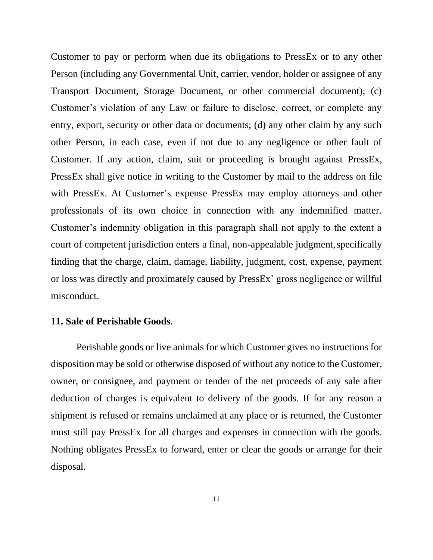Customer to pay or perform when due its obligations to PressEx or to any other Person (including any Governmental Unit, carrier, vendor, holder or assignee of any Transport Document, Storage Document, or other commercial document); (c) Customer's violation of any Law or failure to disclose, correct, or complete any entry, export, security or other data or documents; (d) any other claim by any such other Person, in each case, even if not due to any negligence or other fault of Customer. If any action, claim, suit or proceeding is brought against PressEx, PressEx shall give notice in writing to the Customer by mail to the address on file with PressEx. At Customer's expense PressEx may employ attorneys and other professionals of its own choice in connection with any indemnified matter. Customer's indemnity obligation in this paragraph shall not apply to the extent a court of competent jurisdiction enters a final, non-appealable judgment, specifically finding that the charge, claim, damage, liability, judgment, cost, expense, payment or loss was directly and proximately caused by PressEx' gross negligence or willful misconduct.

#### **11. Sale of Perishable Goods**.

Perishable goods or live animals for which Customer gives no instructions for disposition may be sold or otherwise disposed of without any notice to the Customer, owner, or consignee, and payment or tender of the net proceeds of any sale after deduction of charges is equivalent to delivery of the goods. If for any reason a shipment is refused or remains unclaimed at any place or is returned, the Customer must still pay PressEx for all charges and expenses in connection with the goods. Nothing obligates PressEx to forward, enter or clear the goods or arrange for their disposal.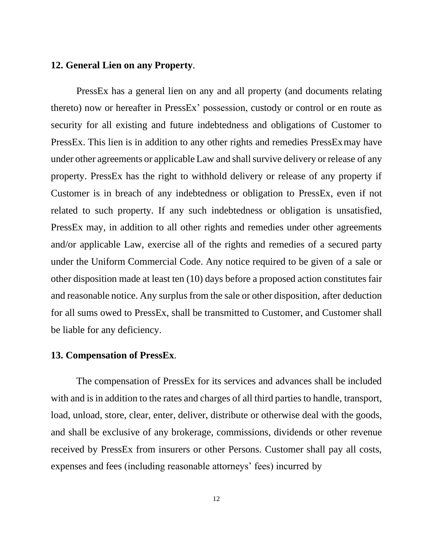#### **12. General Lien on any Property**.

PressEx has a general lien on any and all property (and documents relating thereto) now or hereafter in PressEx' possession, custody or control or en route as security for all existing and future indebtedness and obligations of Customer to PressEx. This lien is in addition to any other rights and remedies PressEx may have under other agreements or applicable Law and shall survive delivery or release of any property. PressEx has the right to withhold delivery or release of any property if Customer is in breach of any indebtedness or obligation to PressEx, even if not related to such property. If any such indebtedness or obligation is unsatisfied, PressEx may, in addition to all other rights and remedies under other agreements and/or applicable Law, exercise all of the rights and remedies of a secured party under the Uniform Commercial Code. Any notice required to be given of a sale or other disposition made at least ten (10) days before a proposed action constitutes fair and reasonable notice. Any surplus from the sale or other disposition, after deduction for all sums owed to PressEx, shall be transmitted to Customer, and Customer shall be liable for any deficiency.

# **13. Compensation of PressEx**.

The compensation of PressEx for its services and advances shall be included with and is in addition to the rates and charges of all third parties to handle, transport, load, unload, store, clear, enter, deliver, distribute or otherwise deal with the goods, and shall be exclusive of any brokerage, commissions, dividends or other revenue received by PressEx from insurers or other Persons. Customer shall pay all costs, expenses and fees (including reasonable attorneys' fees) incurred by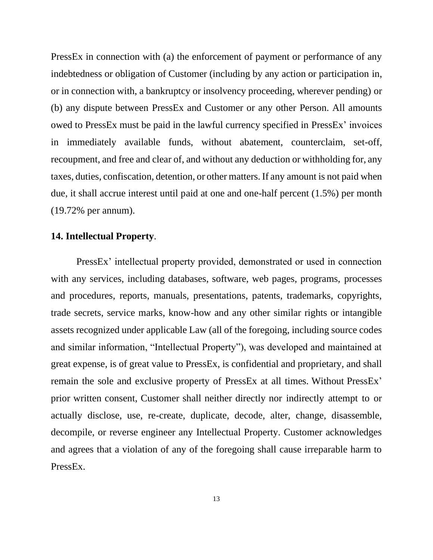PressEx in connection with (a) the enforcement of payment or performance of any indebtedness or obligation of Customer (including by any action or participation in, or in connection with, a bankruptcy or insolvency proceeding, wherever pending) or (b) any dispute between PressEx and Customer or any other Person. All amounts owed to PressEx must be paid in the lawful currency specified in PressEx' invoices in immediately available funds, without abatement, counterclaim, set-off, recoupment, and free and clear of, and without any deduction or withholding for, any taxes, duties, confiscation, detention, or other matters. If any amount is not paid when due, it shall accrue interest until paid at one and one-half percent (1.5%) per month (19.72% per annum).

# **14. Intellectual Property**.

PressEx' intellectual property provided, demonstrated or used in connection with any services, including databases, software, web pages, programs, processes and procedures, reports, manuals, presentations, patents, trademarks, copyrights, trade secrets, service marks, know-how and any other similar rights or intangible assets recognized under applicable Law (all of the foregoing, including source codes and similar information, "Intellectual Property"), was developed and maintained at great expense, is of great value to PressEx, is confidential and proprietary, and shall remain the sole and exclusive property of PressEx at all times. Without PressEx' prior written consent, Customer shall neither directly nor indirectly attempt to or actually disclose, use, re-create, duplicate, decode, alter, change, disassemble, decompile, or reverse engineer any Intellectual Property. Customer acknowledges and agrees that a violation of any of the foregoing shall cause irreparable harm to PressEx.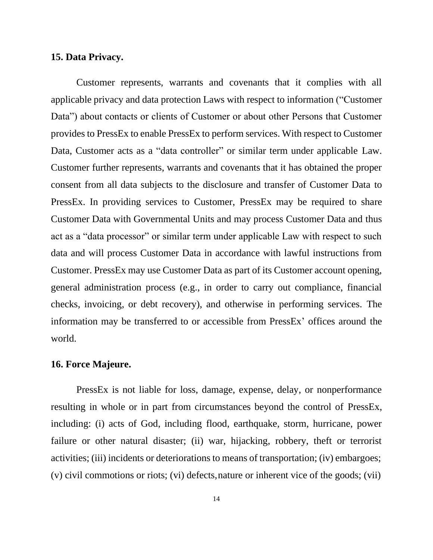#### **15. Data Privacy.**

Customer represents, warrants and covenants that it complies with all applicable privacy and data protection Laws with respect to information ("Customer Data") about contacts or clients of Customer or about other Persons that Customer provides to PressEx to enable PressEx to perform services. With respect to Customer Data, Customer acts as a "data controller" or similar term under applicable Law. Customer further represents, warrants and covenants that it has obtained the proper consent from all data subjects to the disclosure and transfer of Customer Data to PressEx. In providing services to Customer, PressEx may be required to share Customer Data with Governmental Units and may process Customer Data and thus act as a "data processor" or similar term under applicable Law with respect to such data and will process Customer Data in accordance with lawful instructions from Customer. PressEx may use Customer Data as part of its Customer account opening, general administration process (e.g., in order to carry out compliance, financial checks, invoicing, or debt recovery), and otherwise in performing services. The information may be transferred to or accessible from PressEx' offices around the world.

# **16. Force Majeure.**

PressEx is not liable for loss, damage, expense, delay, or nonperformance resulting in whole or in part from circumstances beyond the control of PressEx, including: (i) acts of God, including flood, earthquake, storm, hurricane, power failure or other natural disaster; (ii) war, hijacking, robbery, theft or terrorist activities; (iii) incidents or deteriorations to means of transportation; (iv) embargoes; (v) civil commotions or riots; (vi) defects,nature or inherent vice of the goods; (vii)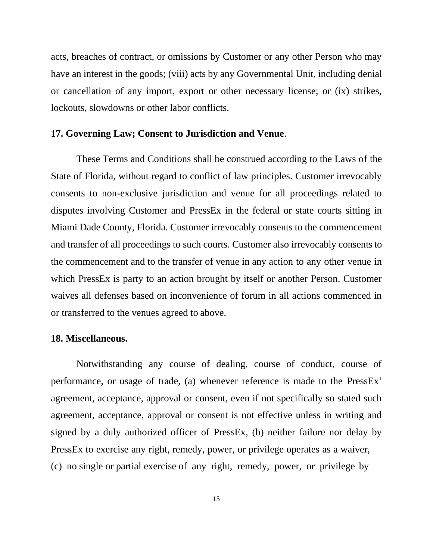acts, breaches of contract, or omissions by Customer or any other Person who may have an interest in the goods; (viii) acts by any Governmental Unit, including denial or cancellation of any import, export or other necessary license; or (ix) strikes, lockouts, slowdowns or other labor conflicts.

# **17. Governing Law; Consent to Jurisdiction and Venue**.

These Terms and Conditions shall be construed according to the Laws of the State of Florida, without regard to conflict of law principles. Customer irrevocably consents to non-exclusive jurisdiction and venue for all proceedings related to disputes involving Customer and PressEx in the federal or state courts sitting in Miami Dade County, Florida. Customer irrevocably consents to the commencement and transfer of all proceedings to such courts. Customer also irrevocably consents to the commencement and to the transfer of venue in any action to any other venue in which PressEx is party to an action brought by itself or another Person. Customer waives all defenses based on inconvenience of forum in all actions commenced in or transferred to the venues agreed to above.

### **18. Miscellaneous.**

Notwithstanding any course of dealing, course of conduct, course of performance, or usage of trade, (a) whenever reference is made to the PressEx' agreement, acceptance, approval or consent, even if not specifically so stated such agreement, acceptance, approval or consent is not effective unless in writing and signed by a duly authorized officer of PressEx, (b) neither failure nor delay by PressEx to exercise any right, remedy, power, or privilege operates as a waiver, (c) no single or partial exercise of any right, remedy, power, or privilege by